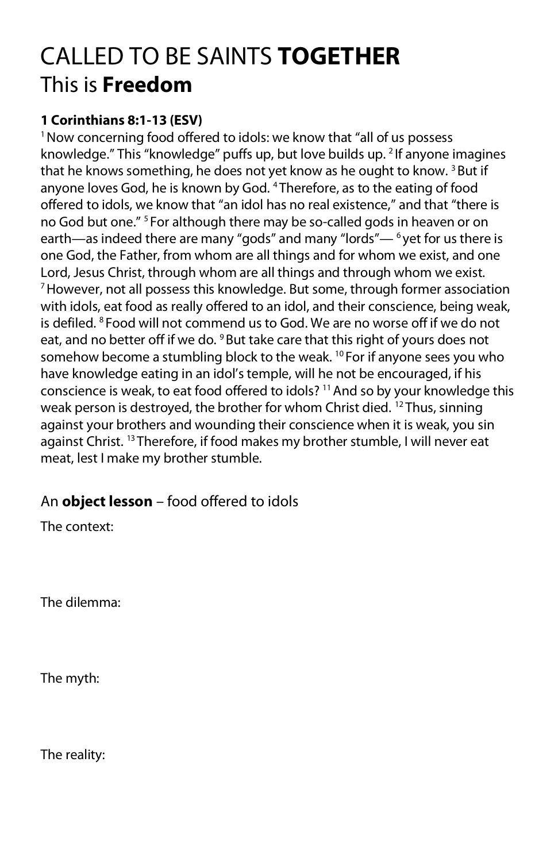## CALLED TO BE SAINTS **TOGETHER** This is **Freedom**

## **1 Corinthians 8:1-13 (ESV)**

<sup>1</sup> Now concerning food offered to idols: we know that "all of us possess knowledge." This "knowledge" puffs up, but love builds up. 2 If anyone imagines that he knows something, he does not yet know as he ought to know.<sup>3</sup> But if anyone loves God, he is known by God. 4 Therefore, as to the eating of food offered to idols, we know that "an idol has no real existence," and that "there is no God but one."<sup>5</sup> For although there may be so-called gods in heaven or on earth—as indeed there are many "gods" and many "lords"— $6$  yet for us there is one God, the Father, from whom are all things and for whom we exist, and one Lord, Jesus Christ, through whom are all things and through whom we exist. 7 However, not all possess this knowledge. But some, through former association with idols, eat food as really offered to an idol, and their conscience, being weak, is defiled. 8 Food will not commend us to God. We are no worse off if we do not eat, and no better off if we do. <sup>9</sup> But take care that this right of yours does not somehow become a stumbling block to the weak.  $^{10}$  For if anyone sees you who have knowledge eating in an idol's temple, will he not be encouraged, if his conscience is weak, to eat food offered to idols? 11 And so by your knowledge this weak person is destroyed, the brother for whom Christ died. <sup>12</sup> Thus, sinning against your brothers and wounding their conscience when it is weak, you sin against Christ. 13 Therefore, if food makes my brother stumble, I will never eat meat, lest I make my brother stumble.

## An **object lesson** – food offered to idols

The context:

The dilemma:

The myth:

The reality: